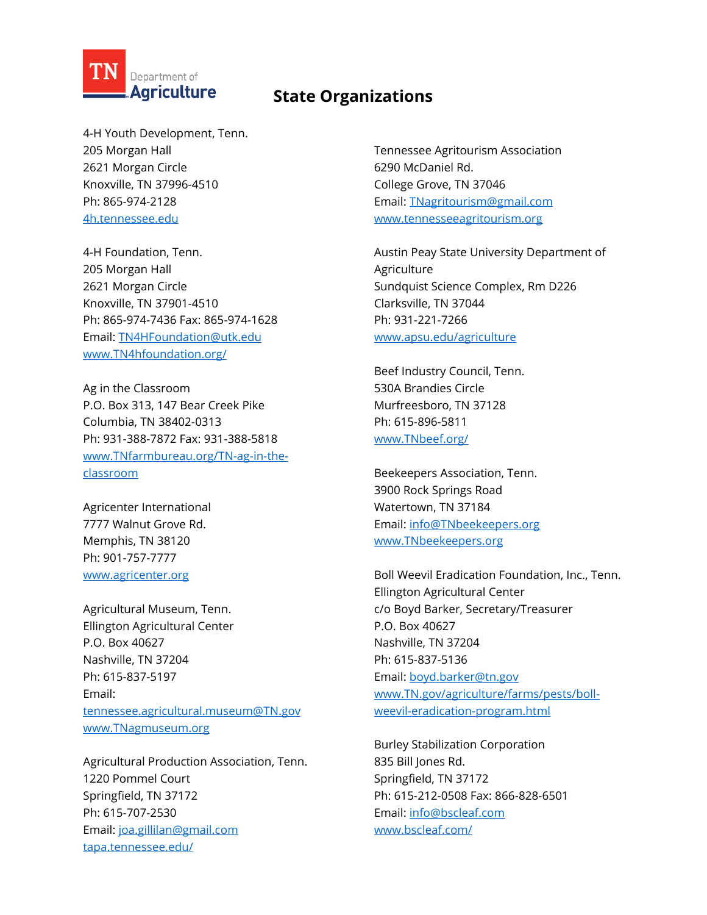

## **State Organizations**

4-H Youth Development, Tenn. 205 Morgan Hall 2621 Morgan Circle Knoxville, TN 37996-4510 Ph: 865-974-2128 [4h.tennessee.edu](http://4h.tennessee.edu/)

4-H Foundation, Tenn. 205 Morgan Hall 2621 Morgan Circle Knoxville, TN 37901-4510 Ph: 865-974-7436 Fax: 865-974-1628 Email[: TN4HFoundation@utk.edu](mailto:Tn4HFoundation@utk.edu) [www.TN4hfoundation.org/](http://www.tn4hfoundation.org/)

Ag in the Classroom P.O. Box 313, 147 Bear Creek Pike Columbia, TN 38402-0313 Ph: 931-388-7872 Fax: 931-388-5818 [www.TNfarmbureau.org/TN-ag-in-the](http://www.tnfarmbureau.org/tn-ag-in-the-classroom)[classroom](http://www.tnfarmbureau.org/tn-ag-in-the-classroom)

Agricenter International 7777 Walnut Grove Rd. Memphis, TN 38120 Ph: 901-757-7777 [www.agricenter.org](http://www.agricenter.org/)

Agricultural Museum, Tenn. Ellington Agricultural Center P.O. Box 40627 Nashville, TN 37204 Ph: 615-837-5197 Email: [tennessee.agricultural.museum@TN.gov](mailto:tennessee.agricultural.museum@tn.gov) [www.TNagmuseum.org](http://www.tnagmuseum.org/)

Agricultural Production Association, Tenn. 1220 Pommel Court Springfield, TN 37172 Ph: 615-707-2530 Email[: joa.gillilan@gmail.com](mailto:joa.gillilan@gmail.com) [tapa.tennessee.edu/](https://tapa.tennessee.edu/)

Tennessee Agritourism Association 6290 McDaniel Rd. College Grove, TN 37046 Email[: TNagritourism@gmail.com](mailto:tnagritourism@gmail.com) [www.tennesseeagritourism.org](http://www.tennesseeagritourism.org/)

Austin Peay State University Department of Agriculture Sundquist Science Complex, Rm D226 Clarksville, TN 37044 Ph: 931-221-7266 [www.apsu.edu/agriculture](http://www.apsu.edu/agriculture)

Beef Industry Council, Tenn. 530A Brandies Circle Murfreesboro, TN 37128 Ph: 615-896-5811 [www.TNbeef.org/](http://www.tnbeef.org/)

Beekeepers Association, Tenn. 3900 Rock Springs Road Watertown, TN 37184 Email[: info@TNbeekeepers.org](mailto:info@tnbeekeepers.org) [www.TNbeekeepers.org](http://www.tnbeekeepers.org/)

Boll Weevil Eradication Foundation, Inc., Tenn. Ellington Agricultural Center c/o Boyd Barker, Secretary/Treasurer P.O. Box 40627 Nashville, TN 37204 Ph: 615-837-5136 Email[: boyd.barker@tn.gov](mailto:boyd.barker@tn.gov) [www.TN.gov/agriculture/farms/pests/boll](http://www.tn.gov/agriculture/farms/pests/boll-weevil-eradication-program.html)[weevil-eradication-program.html](http://www.tn.gov/agriculture/farms/pests/boll-weevil-eradication-program.html)

Burley Stabilization Corporation 835 Bill Jones Rd. Springfield, TN 37172 Ph: 615-212-0508 Fax: 866-828-6501 Email[: info@bscleaf.com](mailto:info@bscleaf.com) [www.bscleaf.com/](http://www.bscleaf.com/)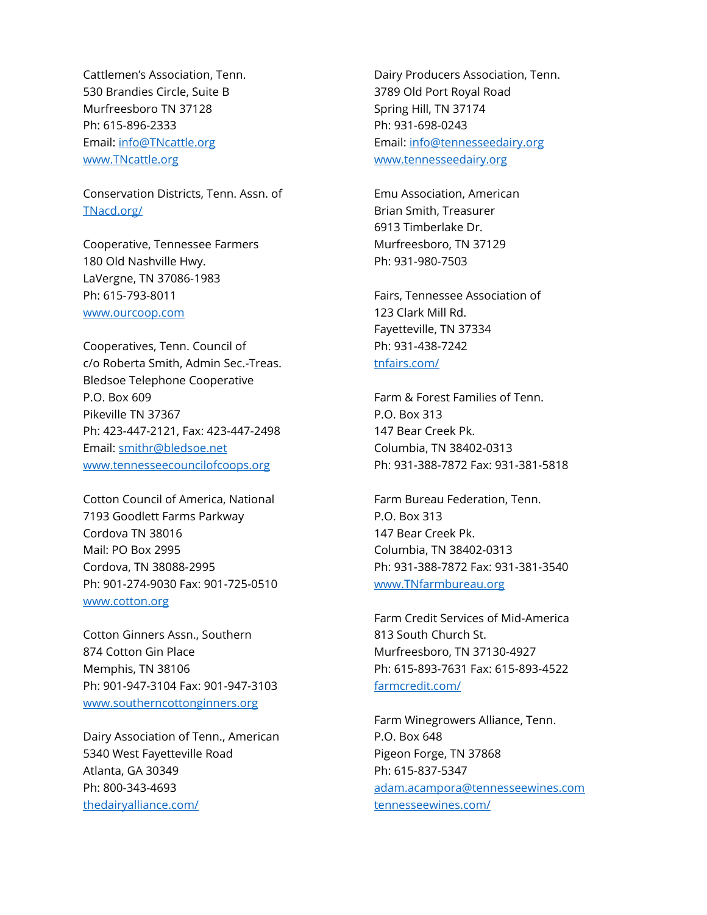Cattlemen's Association, Tenn. 530 Brandies Circle, Suite B Murfreesboro TN 37128 Ph: 615-896-2333 Email[: info@TNcattle.org](mailto:info@tncattle.org) [www.TNcattle.org](http://www.tncattle.org/)

Conservation Districts, Tenn. Assn. of [TNacd.org/](http://tnacd.org/)

Cooperative, Tennessee Farmers 180 Old Nashville Hwy. LaVergne, TN 37086-1983 Ph: 615-793-8011 [www.ourcoop.com](http://www.ourcoop.com/)

Cooperatives, Tenn. Council of c/o Roberta Smith, Admin Sec.-Treas. Bledsoe Telephone Cooperative P.O. Box 609 Pikeville TN 37367 Ph: 423-447-2121, Fax: 423-447-2498 Email[: smithr@bledsoe.net](mailto:smithr@bledsoe.net) [www.tennesseecouncilofcoops.org](http://www.tennesseecouncilofcoops.org/)

Cotton Council of America, National 7193 Goodlett Farms Parkway Cordova TN 38016 Mail: PO Box 2995 Cordova, TN 38088-2995 Ph: 901-274-9030 Fax: 901-725-0510 [www.cotton.org](http://www.cotton.org/)

Cotton Ginners Assn., Southern 874 Cotton Gin Place Memphis, TN 38106 Ph: 901-947-3104 Fax: 901-947-3103 [www.southerncottonginners.org](http://www.southerncottonginners.org/)

Dairy Association of Tenn., American 5340 West Fayetteville Road Atlanta, GA 30349 Ph: 800-343-4693 [thedairyalliance.com/](https://thedairyalliance.com/)

Dairy Producers Association, Tenn. 3789 Old Port Royal Road Spring Hill, TN 37174 Ph: 931-698-0243 Email[: info@tennesseedairy.org](mailto:info@tennesseedairy.org) [www.tennesseedairy.org](http://www.tennesseedairy.org/)

Emu Association, American Brian Smith, Treasurer 6913 Timberlake Dr. Murfreesboro, TN 37129 Ph: 931-980-7503

Fairs, Tennessee Association of 123 Clark Mill Rd. Fayetteville, TN 37334 Ph: 931-438-7242 [tnfairs.com/](http://tnfairs.com/)

Farm & Forest Families of Tenn. P.O. Box 313 147 Bear Creek Pk. Columbia, TN 38402-0313 Ph: 931-388-7872 Fax: 931-381-5818

Farm Bureau Federation, Tenn. P.O. Box 313 147 Bear Creek Pk. Columbia, TN 38402-0313 Ph: 931-388-7872 Fax: 931-381-3540 [www.TNfarmbureau.org](http://www.tnfarmbureau.org/)

Farm Credit Services of Mid-America 813 South Church St. Murfreesboro, TN 37130-4927 Ph: 615-893-7631 Fax: 615-893-4522 [farmcredit.com/](https://farmcredit.com/)

Farm Winegrowers Alliance, Tenn. P.O. Box 648 Pigeon Forge, TN 37868 Ph: 615-837-5347 [adam.acampora@tennesseewines.com](mailto:adam.acampora@tennesseewines.com) [tennesseewines.com/](https://tennesseewines.com/)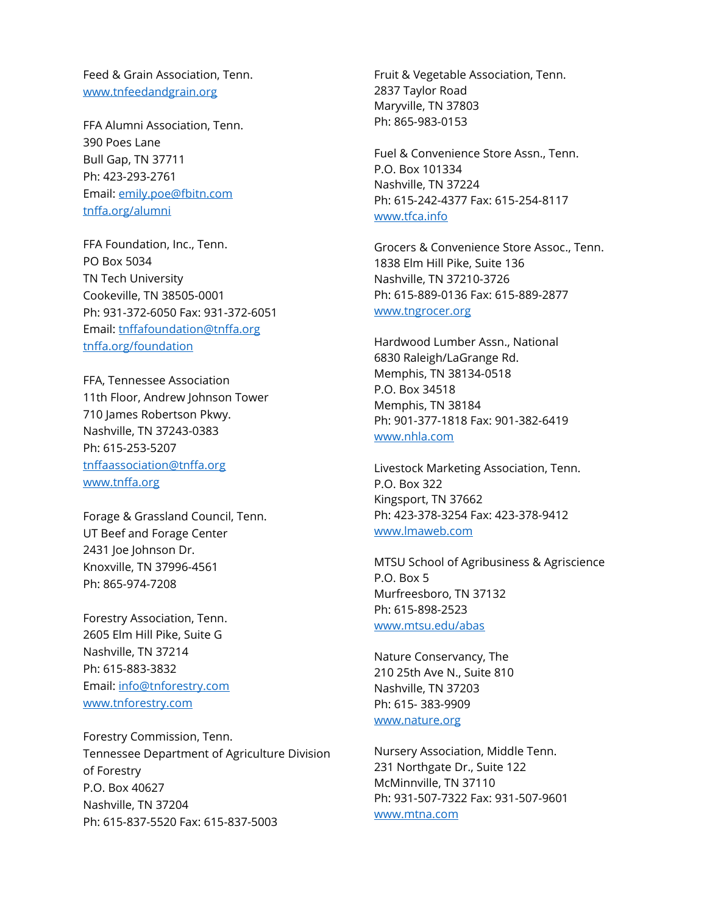Feed & Grain Association, Tenn. [www.tnfeedandgrain.org](http://www.tnfeedandgrain.org/)

FFA Alumni Association, Tenn. 390 Poes Lane Bull Gap, TN 37711 Ph: 423-293-2761 Email[: emily.poe@fbitn.com](mailto:emily.poe@fbitn.com) [tnffa.org/alumni](https://tnffa.org/alumni)

FFA Foundation, Inc., Tenn. PO Box 5034 TN Tech University Cookeville, TN 38505-0001 Ph: 931-372-6050 Fax: 931-372-6051 Email[: tnffafoundation@tnffa.org](mailto:tnffafoundation@tnffa.org) [tnffa.org/foundation](https://tnffa.org/foundation)

FFA, Tennessee Association 11th Floor, Andrew Johnson Tower 710 James Robertson Pkwy. Nashville, TN 37243-0383 Ph: 615-253-5207 [tnffaassociation@tnffa.org](mailto:tnffaassociation@tnffa.org) [www.tnffa.org](http://www.tnffa.org/)

Forage & Grassland Council, Tenn. UT Beef and Forage Center 2431 Joe Johnson Dr. Knoxville, TN 37996-4561 Ph: 865-974-7208

Forestry Association, Tenn. 2605 Elm Hill Pike, Suite G Nashville, TN 37214 Ph: 615-883-3832 Email[: info@tnforestry.com](mailto:info@tnforestry.com) [www.tnforestry.com](http://www.tnforestry.com/)

Forestry Commission, Tenn. Tennessee Department of Agriculture Division of Forestry P.O. Box 40627 Nashville, TN 37204 Ph: 615-837-5520 Fax: 615-837-5003

Fruit & Vegetable Association, Tenn. 2837 Taylor Road Maryville, TN 37803 Ph: 865-983-0153

Fuel & Convenience Store Assn., Tenn. P.O. Box 101334 Nashville, TN 37224 Ph: 615-242-4377 Fax: 615-254-8117 [www.tfca.info](http://www.tfca.info/)

Grocers & Convenience Store Assoc., Tenn. 1838 Elm Hill Pike, Suite 136 Nashville, TN 37210-3726 Ph: 615-889-0136 Fax: 615-889-2877 [www.tngrocer.org](http://www.tngrocer.org/)

Hardwood Lumber Assn., National 6830 Raleigh/LaGrange Rd. Memphis, TN 38134-0518 P.O. Box 34518 Memphis, TN 38184 Ph: 901-377-1818 Fax: 901-382-6419 [www.nhla.com](http://www.nhla.com/)

Livestock Marketing Association, Tenn. P.O. Box 322 Kingsport, TN 37662 Ph: 423-378-3254 Fax: 423-378-9412 [www.lmaweb.com](http://www.lmaweb.com/)

MTSU School of Agribusiness & Agriscience P.O. Box 5 Murfreesboro, TN 37132 Ph: 615-898-2523 [www.mtsu.edu/abas](http://www.mtsu.edu/abas)

Nature Conservancy, The 210 25th Ave N., Suite 810 Nashville, TN 37203 Ph: 615- 383-9909 [www.nature.org](http://www.nature.org/)

Nursery Association, Middle Tenn. 231 Northgate Dr., Suite 122 McMinnville, TN 37110 Ph: 931-507-7322 Fax: 931-507-9601 [www.mtna.com](http://www.mtna.com/)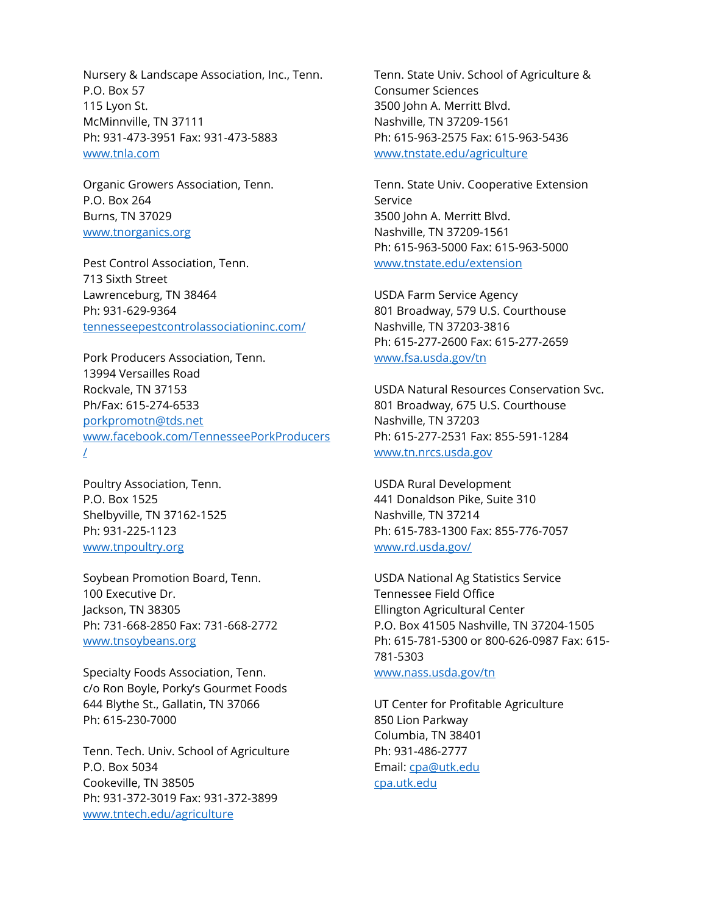Nursery & Landscape Association, Inc., Tenn. P.O. Box 57 115 Lyon St. McMinnville, TN 37111 Ph: 931-473-3951 Fax: 931-473-5883 [www.tnla.com](http://www.tnla.com/)

Organic Growers Association, Tenn. P.O. Box 264 Burns, TN 37029 [www.tnorganics.org](http://www.tnorganics.org/)

Pest Control Association, Tenn. 713 Sixth Street Lawrenceburg, TN 38464 Ph: 931-629-9364 [tennesseepestcontrolassociationinc.com/](http://tennesseepestcontrolassociationinc.com/)

Pork Producers Association, Tenn. 13994 Versailles Road Rockvale, TN 37153 Ph/Fax: 615-274-6533 [porkpromotn@tds.net](mailto:porkpromotn@tds.net) [www.facebook.com/TennesseePorkProducers](http://www.facebook.com/TennesseePorkProducers/)  $\perp$ 

Poultry Association, Tenn. P.O. Box 1525 Shelbyville, TN 37162-1525 Ph: 931-225-1123 [www.tnpoultry.org](http://www.tnpoultry.org/)

Soybean Promotion Board, Tenn. 100 Executive Dr. Jackson, TN 38305 Ph: 731-668-2850 Fax: 731-668-2772 [www.tnsoybeans.org](http://www.tnsoybeans.org/)

Specialty Foods Association, Tenn. c/o Ron Boyle, Porky's Gourmet Foods 644 Blythe St., Gallatin, TN 37066 Ph: 615-230-7000

Tenn. Tech. Univ. School of Agriculture P.O. Box 5034 Cookeville, TN 38505 Ph: 931-372-3019 Fax: 931-372-3899 [www.tntech.edu/agriculture](http://www.tntech.edu/agriculture)

Tenn. State Univ. School of Agriculture & Consumer Sciences 3500 John A. Merritt Blvd. Nashville, TN 37209-1561 Ph: 615-963-2575 Fax: 615-963-5436 [www.tnstate.edu/agriculture](http://www.tnstate.edu/agriculture)

Tenn. State Univ. Cooperative Extension Service 3500 John A. Merritt Blvd. Nashville, TN 37209-1561 Ph: 615-963-5000 Fax: 615-963-5000 [www.tnstate.edu/extension](http://www.tnstate.edu/extension)

USDA Farm Service Agency 801 Broadway, 579 U.S. Courthouse Nashville, TN 37203-3816 Ph: 615-277-2600 Fax: 615-277-2659 [www.fsa.usda.gov/tn](http://www.fsa.usda.gov/tn)

USDA Natural Resources Conservation Svc. 801 Broadway, 675 U.S. Courthouse Nashville, TN 37203 Ph: 615-277-2531 Fax: 855-591-1284 [www.tn.nrcs.usda.gov](http://www.tn.nrcs.usda.gov/)

USDA Rural Development 441 Donaldson Pike, Suite 310 Nashville, TN 37214 Ph: 615-783-1300 Fax: 855-776-7057 [www.rd.usda.gov/](http://www.rd.usda.gov/)

USDA National Ag Statistics Service Tennessee Field Office Ellington Agricultural Center P.O. Box 41505 Nashville, TN 37204-1505 Ph: 615-781-5300 or 800-626-0987 Fax: 615- 781-5303 [www.nass.usda.gov/tn](http://www.nass.usda.gov/tn)

UT Center for Profitable Agriculture 850 Lion Parkway Columbia, TN 38401 Ph: 931-486-2777 Email[: cpa@utk.edu](mailto:cpa@utk.edu) [cpa.utk.edu](http://cpa.utk.edu/)